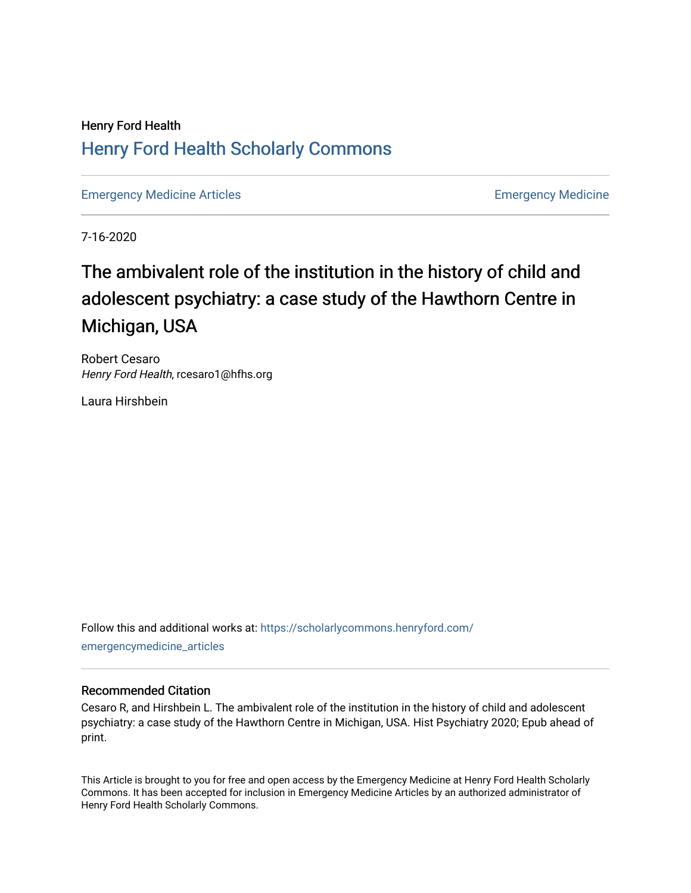# Henry Ford Health [Henry Ford Health Scholarly Commons](https://scholarlycommons.henryford.com/)

[Emergency Medicine Articles](https://scholarlycommons.henryford.com/emergencymedicine_articles) [Emergency Medicine](https://scholarlycommons.henryford.com/emergencymedicine) 

7-16-2020

# The ambivalent role of the institution in the history of child and adolescent psychiatry: a case study of the Hawthorn Centre in Michigan, USA

Robert Cesaro Henry Ford Health, rcesaro1@hfhs.org

Laura Hirshbein

Follow this and additional works at: [https://scholarlycommons.henryford.com/](https://scholarlycommons.henryford.com/emergencymedicine_articles?utm_source=scholarlycommons.henryford.com%2Femergencymedicine_articles%2F202&utm_medium=PDF&utm_campaign=PDFCoverPages) [emergencymedicine\\_articles](https://scholarlycommons.henryford.com/emergencymedicine_articles?utm_source=scholarlycommons.henryford.com%2Femergencymedicine_articles%2F202&utm_medium=PDF&utm_campaign=PDFCoverPages) 

## Recommended Citation

Cesaro R, and Hirshbein L. The ambivalent role of the institution in the history of child and adolescent psychiatry: a case study of the Hawthorn Centre in Michigan, USA. Hist Psychiatry 2020; Epub ahead of print.

This Article is brought to you for free and open access by the Emergency Medicine at Henry Ford Health Scholarly Commons. It has been accepted for inclusion in Emergency Medicine Articles by an authorized administrator of Henry Ford Health Scholarly Commons.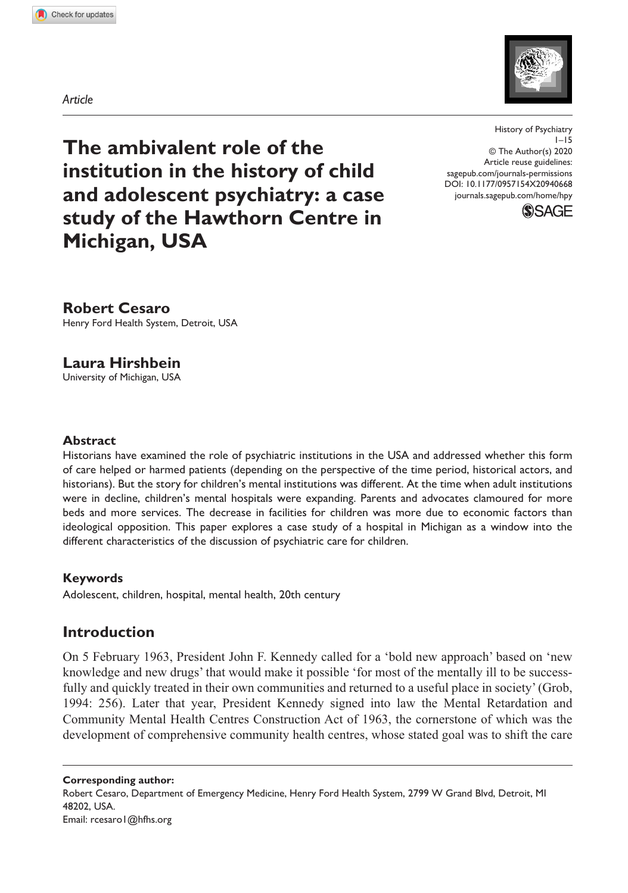

*Article*

**The ambivalent role of the institution in the history of child and adolescent psychiatry: a case study of the Hawthorn Centre in Michigan, USA**

DOI: 10.1177/0957154X20940668 History of Psychiatry 1–15 © The Author(s) 2020 Article reuse guidelines: [sagepub.com/journals-permissions](https://uk.sagepub.com/en-gb/journals-permissions) [journals.sagepub.com/home/hpy](https://journals.sagepub.com/home/hpy)



**Robert Cesaro** Henry Ford Health System, Detroit, USA

**Laura Hirshbein** University of Michigan, USA

#### **Abstract**

Historians have examined the role of psychiatric institutions in the USA and addressed whether this form of care helped or harmed patients (depending on the perspective of the time period, historical actors, and historians). But the story for children's mental institutions was different. At the time when adult institutions were in decline, children's mental hospitals were expanding. Parents and advocates clamoured for more beds and more services. The decrease in facilities for children was more due to economic factors than ideological opposition. This paper explores a case study of a hospital in Michigan as a window into the different characteristics of the discussion of psychiatric care for children.

#### **Keywords**

Adolescent, children, hospital, mental health, 20th century

# **Introduction**

On 5 February 1963, President John F. Kennedy called for a 'bold new approach' based on 'new knowledge and new drugs' that would make it possible 'for most of the mentally ill to be successfully and quickly treated in their own communities and returned to a useful place in society' (Grob, 1994: 256). Later that year, President Kennedy signed into law the Mental Retardation and Community Mental Health Centres Construction Act of 1963, the cornerstone of which was the development of comprehensive community health centres, whose stated goal was to shift the care

**Corresponding author:** Robert Cesaro, Department of Emergency Medicine, Henry Ford Health System, 2799 W Grand Blvd, Detroit, MI 48202, USA. Email: [rcesaro1@hfhs.org](mailto:rcesaro1@hfhs.org)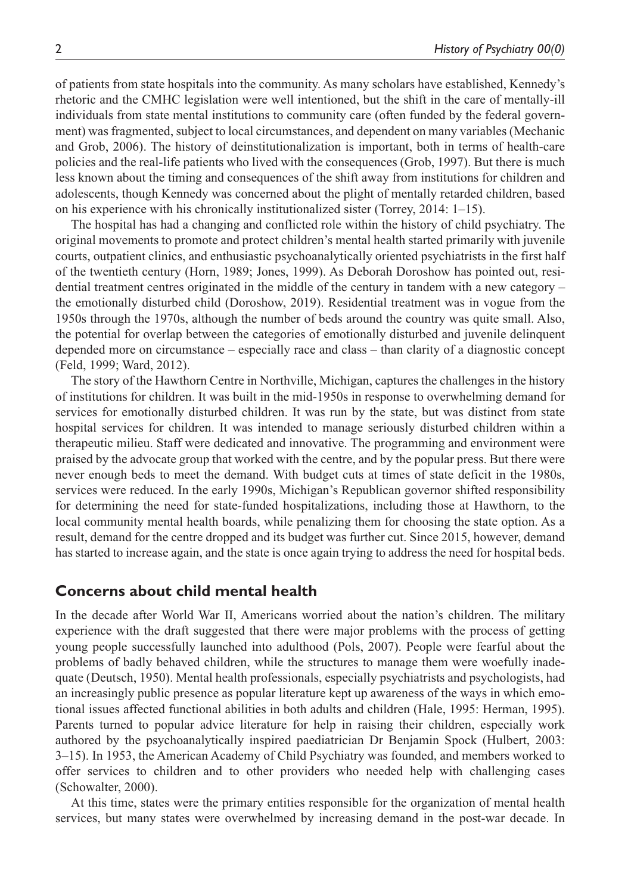of patients from state hospitals into the community. As many scholars have established, Kennedy's rhetoric and the CMHC legislation were well intentioned, but the shift in the care of mentally-ill individuals from state mental institutions to community care (often funded by the federal government) was fragmented, subject to local circumstances, and dependent on many variables (Mechanic and Grob, 2006). The history of deinstitutionalization is important, both in terms of health-care policies and the real-life patients who lived with the consequences (Grob, 1997). But there is much less known about the timing and consequences of the shift away from institutions for children and adolescents, though Kennedy was concerned about the plight of mentally retarded children, based on his experience with his chronically institutionalized sister (Torrey, 2014: 1–15).

The hospital has had a changing and conflicted role within the history of child psychiatry. The original movements to promote and protect children's mental health started primarily with juvenile courts, outpatient clinics, and enthusiastic psychoanalytically oriented psychiatrists in the first half of the twentieth century (Horn, 1989; Jones, 1999). As Deborah Doroshow has pointed out, residential treatment centres originated in the middle of the century in tandem with a new category – the emotionally disturbed child (Doroshow, 2019). Residential treatment was in vogue from the 1950s through the 1970s, although the number of beds around the country was quite small. Also, the potential for overlap between the categories of emotionally disturbed and juvenile delinquent depended more on circumstance – especially race and class – than clarity of a diagnostic concept (Feld, 1999; Ward, 2012).

The story of the Hawthorn Centre in Northville, Michigan, captures the challenges in the history of institutions for children. It was built in the mid-1950s in response to overwhelming demand for services for emotionally disturbed children. It was run by the state, but was distinct from state hospital services for children. It was intended to manage seriously disturbed children within a therapeutic milieu. Staff were dedicated and innovative. The programming and environment were praised by the advocate group that worked with the centre, and by the popular press. But there were never enough beds to meet the demand. With budget cuts at times of state deficit in the 1980s, services were reduced. In the early 1990s, Michigan's Republican governor shifted responsibility for determining the need for state-funded hospitalizations, including those at Hawthorn, to the local community mental health boards, while penalizing them for choosing the state option. As a result, demand for the centre dropped and its budget was further cut. Since 2015, however, demand has started to increase again, and the state is once again trying to address the need for hospital beds.

### **Concerns about child mental health**

In the decade after World War II, Americans worried about the nation's children. The military experience with the draft suggested that there were major problems with the process of getting young people successfully launched into adulthood (Pols, 2007). People were fearful about the problems of badly behaved children, while the structures to manage them were woefully inadequate (Deutsch, 1950). Mental health professionals, especially psychiatrists and psychologists, had an increasingly public presence as popular literature kept up awareness of the ways in which emotional issues affected functional abilities in both adults and children (Hale, 1995: Herman, 1995). Parents turned to popular advice literature for help in raising their children, especially work authored by the psychoanalytically inspired paediatrician Dr Benjamin Spock (Hulbert, 2003: 3–15). In 1953, the American Academy of Child Psychiatry was founded, and members worked to offer services to children and to other providers who needed help with challenging cases (Schowalter, 2000).

At this time, states were the primary entities responsible for the organization of mental health services, but many states were overwhelmed by increasing demand in the post-war decade. In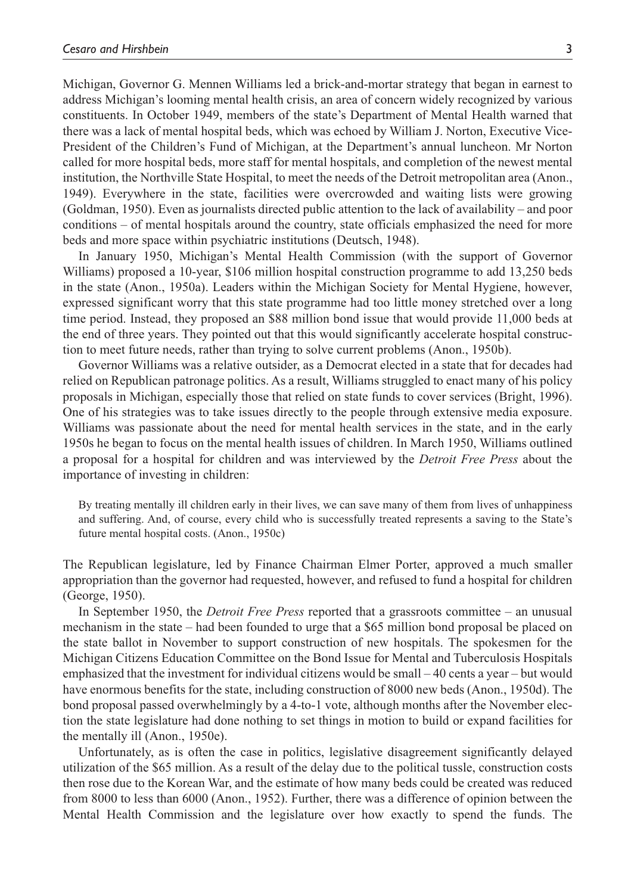Michigan, Governor G. Mennen Williams led a brick-and-mortar strategy that began in earnest to address Michigan's looming mental health crisis, an area of concern widely recognized by various constituents. In October 1949, members of the state's Department of Mental Health warned that there was a lack of mental hospital beds, which was echoed by William J. Norton, Executive Vice-President of the Children's Fund of Michigan, at the Department's annual luncheon. Mr Norton called for more hospital beds, more staff for mental hospitals, and completion of the newest mental institution, the Northville State Hospital, to meet the needs of the Detroit metropolitan area (Anon., 1949). Everywhere in the state, facilities were overcrowded and waiting lists were growing (Goldman, 1950). Even as journalists directed public attention to the lack of availability – and poor conditions – of mental hospitals around the country, state officials emphasized the need for more beds and more space within psychiatric institutions (Deutsch, 1948).

In January 1950, Michigan's Mental Health Commission (with the support of Governor Williams) proposed a 10-year, \$106 million hospital construction programme to add 13,250 beds in the state (Anon., 1950a). Leaders within the Michigan Society for Mental Hygiene, however, expressed significant worry that this state programme had too little money stretched over a long time period. Instead, they proposed an \$88 million bond issue that would provide 11,000 beds at the end of three years. They pointed out that this would significantly accelerate hospital construction to meet future needs, rather than trying to solve current problems (Anon., 1950b).

Governor Williams was a relative outsider, as a Democrat elected in a state that for decades had relied on Republican patronage politics. As a result, Williams struggled to enact many of his policy proposals in Michigan, especially those that relied on state funds to cover services (Bright, 1996). One of his strategies was to take issues directly to the people through extensive media exposure. Williams was passionate about the need for mental health services in the state, and in the early 1950s he began to focus on the mental health issues of children. In March 1950, Williams outlined a proposal for a hospital for children and was interviewed by the *Detroit Free Press* about the importance of investing in children:

By treating mentally ill children early in their lives, we can save many of them from lives of unhappiness and suffering. And, of course, every child who is successfully treated represents a saving to the State's future mental hospital costs. (Anon., 1950c)

The Republican legislature, led by Finance Chairman Elmer Porter, approved a much smaller appropriation than the governor had requested, however, and refused to fund a hospital for children (George, 1950).

In September 1950, the *Detroit Free Press* reported that a grassroots committee – an unusual mechanism in the state – had been founded to urge that a \$65 million bond proposal be placed on the state ballot in November to support construction of new hospitals. The spokesmen for the Michigan Citizens Education Committee on the Bond Issue for Mental and Tuberculosis Hospitals emphasized that the investment for individual citizens would be small – 40 cents a year – but would have enormous benefits for the state, including construction of 8000 new beds (Anon., 1950d). The bond proposal passed overwhelmingly by a 4-to-1 vote, although months after the November election the state legislature had done nothing to set things in motion to build or expand facilities for the mentally ill (Anon., 1950e).

Unfortunately, as is often the case in politics, legislative disagreement significantly delayed utilization of the \$65 million. As a result of the delay due to the political tussle, construction costs then rose due to the Korean War, and the estimate of how many beds could be created was reduced from 8000 to less than 6000 (Anon., 1952). Further, there was a difference of opinion between the Mental Health Commission and the legislature over how exactly to spend the funds. The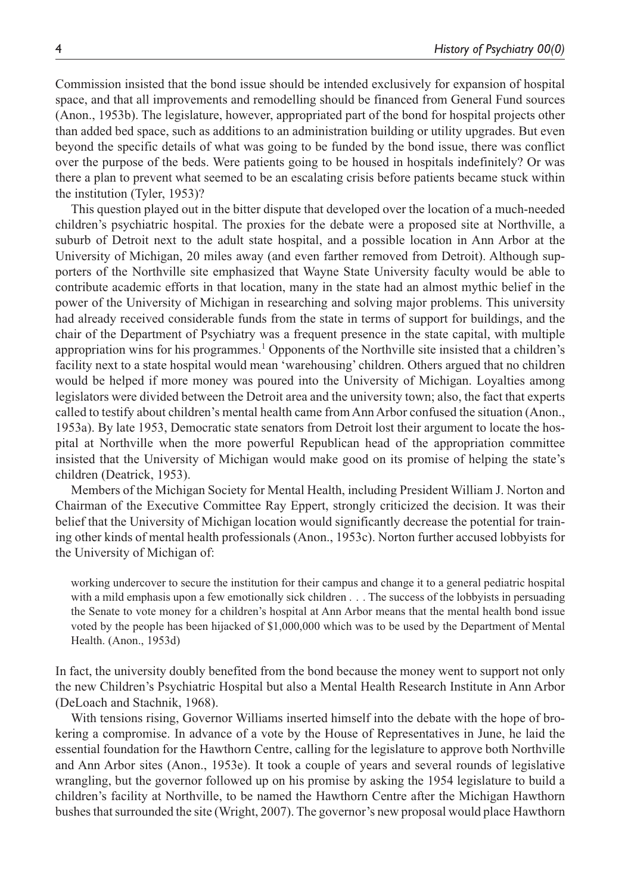Commission insisted that the bond issue should be intended exclusively for expansion of hospital space, and that all improvements and remodelling should be financed from General Fund sources (Anon., 1953b). The legislature, however, appropriated part of the bond for hospital projects other than added bed space, such as additions to an administration building or utility upgrades. But even beyond the specific details of what was going to be funded by the bond issue, there was conflict over the purpose of the beds. Were patients going to be housed in hospitals indefinitely? Or was there a plan to prevent what seemed to be an escalating crisis before patients became stuck within the institution (Tyler, 1953)?

This question played out in the bitter dispute that developed over the location of a much-needed children's psychiatric hospital. The proxies for the debate were a proposed site at Northville, a suburb of Detroit next to the adult state hospital, and a possible location in Ann Arbor at the University of Michigan, 20 miles away (and even farther removed from Detroit). Although supporters of the Northville site emphasized that Wayne State University faculty would be able to contribute academic efforts in that location, many in the state had an almost mythic belief in the power of the University of Michigan in researching and solving major problems. This university had already received considerable funds from the state in terms of support for buildings, and the chair of the Department of Psychiatry was a frequent presence in the state capital, with multiple appropriation wins for his programmes.<sup>1</sup> Opponents of the Northville site insisted that a children's facility next to a state hospital would mean 'warehousing' children. Others argued that no children would be helped if more money was poured into the University of Michigan. Loyalties among legislators were divided between the Detroit area and the university town; also, the fact that experts called to testify about children's mental health came from Ann Arbor confused the situation (Anon., 1953a). By late 1953, Democratic state senators from Detroit lost their argument to locate the hospital at Northville when the more powerful Republican head of the appropriation committee insisted that the University of Michigan would make good on its promise of helping the state's children (Deatrick, 1953).

Members of the Michigan Society for Mental Health, including President William J. Norton and Chairman of the Executive Committee Ray Eppert, strongly criticized the decision. It was their belief that the University of Michigan location would significantly decrease the potential for training other kinds of mental health professionals (Anon., 1953c). Norton further accused lobbyists for the University of Michigan of:

working undercover to secure the institution for their campus and change it to a general pediatric hospital with a mild emphasis upon a few emotionally sick children . . . The success of the lobbyists in persuading the Senate to vote money for a children's hospital at Ann Arbor means that the mental health bond issue voted by the people has been hijacked of \$1,000,000 which was to be used by the Department of Mental Health. (Anon., 1953d)

In fact, the university doubly benefited from the bond because the money went to support not only the new Children's Psychiatric Hospital but also a Mental Health Research Institute in Ann Arbor (DeLoach and Stachnik, 1968).

With tensions rising, Governor Williams inserted himself into the debate with the hope of brokering a compromise. In advance of a vote by the House of Representatives in June, he laid the essential foundation for the Hawthorn Centre, calling for the legislature to approve both Northville and Ann Arbor sites (Anon., 1953e). It took a couple of years and several rounds of legislative wrangling, but the governor followed up on his promise by asking the 1954 legislature to build a children's facility at Northville, to be named the Hawthorn Centre after the Michigan Hawthorn bushes that surrounded the site (Wright, 2007). The governor's new proposal would place Hawthorn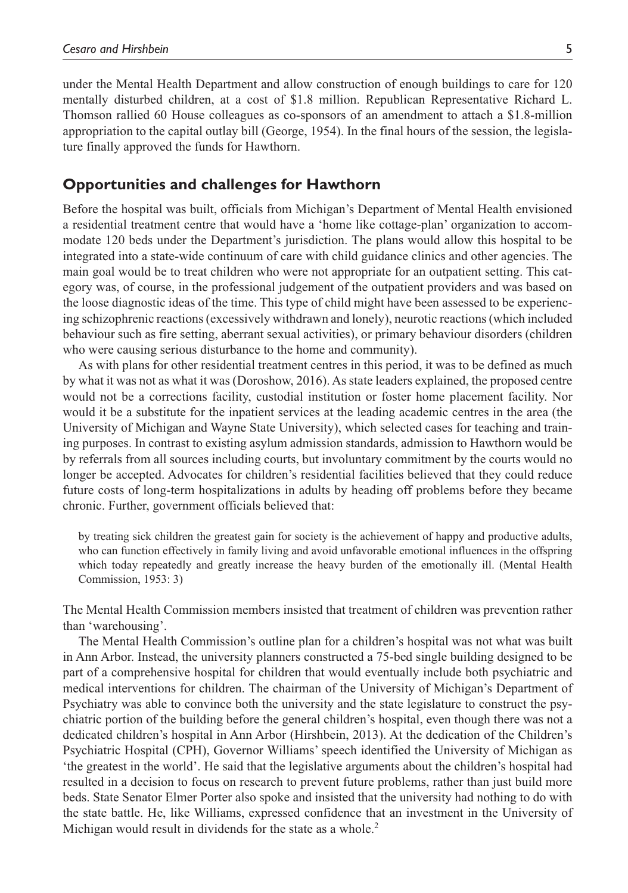under the Mental Health Department and allow construction of enough buildings to care for 120 mentally disturbed children, at a cost of \$1.8 million. Republican Representative Richard L. Thomson rallied 60 House colleagues as co-sponsors of an amendment to attach a \$1.8-million appropriation to the capital outlay bill (George, 1954). In the final hours of the session, the legislature finally approved the funds for Hawthorn.

#### **Opportunities and challenges for Hawthorn**

Before the hospital was built, officials from Michigan's Department of Mental Health envisioned a residential treatment centre that would have a 'home like cottage-plan' organization to accommodate 120 beds under the Department's jurisdiction. The plans would allow this hospital to be integrated into a state-wide continuum of care with child guidance clinics and other agencies. The main goal would be to treat children who were not appropriate for an outpatient setting. This category was, of course, in the professional judgement of the outpatient providers and was based on the loose diagnostic ideas of the time. This type of child might have been assessed to be experiencing schizophrenic reactions (excessively withdrawn and lonely), neurotic reactions (which included behaviour such as fire setting, aberrant sexual activities), or primary behaviour disorders (children who were causing serious disturbance to the home and community).

As with plans for other residential treatment centres in this period, it was to be defined as much by what it was not as what it was (Doroshow, 2016). As state leaders explained, the proposed centre would not be a corrections facility, custodial institution or foster home placement facility. Nor would it be a substitute for the inpatient services at the leading academic centres in the area (the University of Michigan and Wayne State University), which selected cases for teaching and training purposes. In contrast to existing asylum admission standards, admission to Hawthorn would be by referrals from all sources including courts, but involuntary commitment by the courts would no longer be accepted. Advocates for children's residential facilities believed that they could reduce future costs of long-term hospitalizations in adults by heading off problems before they became chronic. Further, government officials believed that:

by treating sick children the greatest gain for society is the achievement of happy and productive adults, who can function effectively in family living and avoid unfavorable emotional influences in the offspring which today repeatedly and greatly increase the heavy burden of the emotionally ill. (Mental Health Commission, 1953: 3)

The Mental Health Commission members insisted that treatment of children was prevention rather than 'warehousing'.

The Mental Health Commission's outline plan for a children's hospital was not what was built in Ann Arbor. Instead, the university planners constructed a 75-bed single building designed to be part of a comprehensive hospital for children that would eventually include both psychiatric and medical interventions for children. The chairman of the University of Michigan's Department of Psychiatry was able to convince both the university and the state legislature to construct the psychiatric portion of the building before the general children's hospital, even though there was not a dedicated children's hospital in Ann Arbor (Hirshbein, 2013). At the dedication of the Children's Psychiatric Hospital (CPH), Governor Williams' speech identified the University of Michigan as 'the greatest in the world'. He said that the legislative arguments about the children's hospital had resulted in a decision to focus on research to prevent future problems, rather than just build more beds. State Senator Elmer Porter also spoke and insisted that the university had nothing to do with the state battle. He, like Williams, expressed confidence that an investment in the University of Michigan would result in dividends for the state as a whole.<sup>2</sup>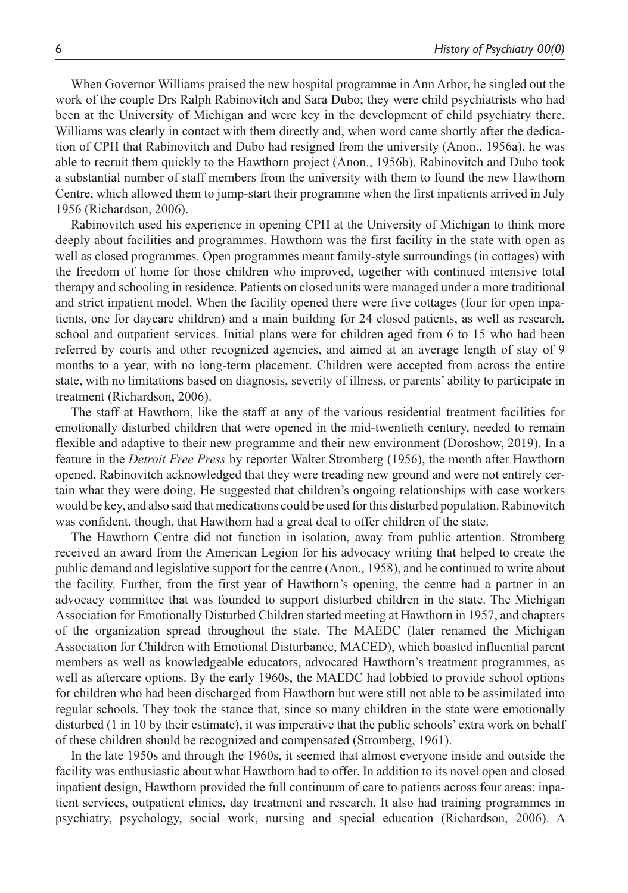When Governor Williams praised the new hospital programme in Ann Arbor, he singled out the work of the couple Drs Ralph Rabinovitch and Sara Dubo; they were child psychiatrists who had been at the University of Michigan and were key in the development of child psychiatry there. Williams was clearly in contact with them directly and, when word came shortly after the dedication of CPH that Rabinovitch and Dubo had resigned from the university (Anon., 1956a), he was able to recruit them quickly to the Hawthorn project (Anon., 1956b). Rabinovitch and Dubo took a substantial number of staff members from the university with them to found the new Hawthorn Centre, which allowed them to jump-start their programme when the first inpatients arrived in July 1956 (Richardson, 2006).

Rabinovitch used his experience in opening CPH at the University of Michigan to think more deeply about facilities and programmes. Hawthorn was the first facility in the state with open as well as closed programmes. Open programmes meant family-style surroundings (in cottages) with the freedom of home for those children who improved, together with continued intensive total therapy and schooling in residence. Patients on closed units were managed under a more traditional and strict inpatient model. When the facility opened there were five cottages (four for open inpatients, one for daycare children) and a main building for 24 closed patients, as well as research, school and outpatient services. Initial plans were for children aged from 6 to 15 who had been referred by courts and other recognized agencies, and aimed at an average length of stay of 9 months to a year, with no long-term placement. Children were accepted from across the entire state, with no limitations based on diagnosis, severity of illness, or parents' ability to participate in treatment (Richardson, 2006).

The staff at Hawthorn, like the staff at any of the various residential treatment facilities for emotionally disturbed children that were opened in the mid-twentieth century, needed to remain flexible and adaptive to their new programme and their new environment (Doroshow, 2019). In a feature in the *Detroit Free Press* by reporter Walter Stromberg (1956), the month after Hawthorn opened, Rabinovitch acknowledged that they were treading new ground and were not entirely certain what they were doing. He suggested that children's ongoing relationships with case workers would be key, and also said that medications could be used for this disturbed population. Rabinovitch was confident, though, that Hawthorn had a great deal to offer children of the state.

The Hawthorn Centre did not function in isolation, away from public attention. Stromberg received an award from the American Legion for his advocacy writing that helped to create the public demand and legislative support for the centre (Anon., 1958), and he continued to write about the facility. Further, from the first year of Hawthorn's opening, the centre had a partner in an advocacy committee that was founded to support disturbed children in the state. The Michigan Association for Emotionally Disturbed Children started meeting at Hawthorn in 1957, and chapters of the organization spread throughout the state. The MAEDC (later renamed the Michigan Association for Children with Emotional Disturbance, MACED), which boasted influential parent members as well as knowledgeable educators, advocated Hawthorn's treatment programmes, as well as aftercare options. By the early 1960s, the MAEDC had lobbied to provide school options for children who had been discharged from Hawthorn but were still not able to be assimilated into regular schools. They took the stance that, since so many children in the state were emotionally disturbed (1 in 10 by their estimate), it was imperative that the public schools' extra work on behalf of these children should be recognized and compensated (Stromberg, 1961).

In the late 1950s and through the 1960s, it seemed that almost everyone inside and outside the facility was enthusiastic about what Hawthorn had to offer. In addition to its novel open and closed inpatient design, Hawthorn provided the full continuum of care to patients across four areas: inpatient services, outpatient clinics, day treatment and research. It also had training programmes in psychiatry, psychology, social work, nursing and special education (Richardson, 2006). A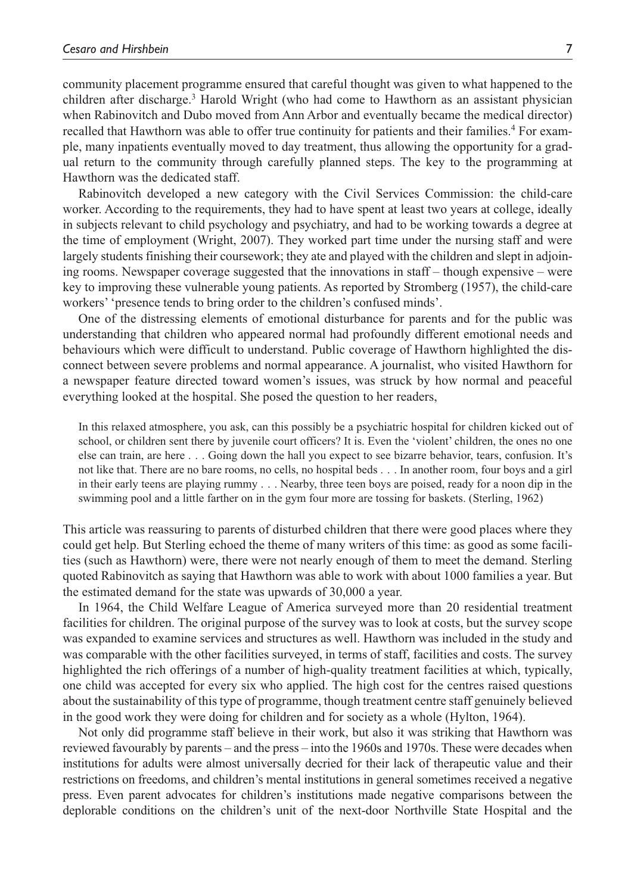community placement programme ensured that careful thought was given to what happened to the children after discharge.<sup>3</sup> Harold Wright (who had come to Hawthorn as an assistant physician when Rabinovitch and Dubo moved from Ann Arbor and eventually became the medical director) recalled that Hawthorn was able to offer true continuity for patients and their families.<sup>4</sup> For example, many inpatients eventually moved to day treatment, thus allowing the opportunity for a gradual return to the community through carefully planned steps. The key to the programming at Hawthorn was the dedicated staff.

Rabinovitch developed a new category with the Civil Services Commission: the child-care worker. According to the requirements, they had to have spent at least two years at college, ideally in subjects relevant to child psychology and psychiatry, and had to be working towards a degree at the time of employment (Wright, 2007). They worked part time under the nursing staff and were largely students finishing their coursework; they ate and played with the children and slept in adjoining rooms. Newspaper coverage suggested that the innovations in staff – though expensive – were key to improving these vulnerable young patients. As reported by Stromberg (1957), the child-care workers' 'presence tends to bring order to the children's confused minds'.

One of the distressing elements of emotional disturbance for parents and for the public was understanding that children who appeared normal had profoundly different emotional needs and behaviours which were difficult to understand. Public coverage of Hawthorn highlighted the disconnect between severe problems and normal appearance. A journalist, who visited Hawthorn for a newspaper feature directed toward women's issues, was struck by how normal and peaceful everything looked at the hospital. She posed the question to her readers,

In this relaxed atmosphere, you ask, can this possibly be a psychiatric hospital for children kicked out of school, or children sent there by juvenile court officers? It is. Even the 'violent' children, the ones no one else can train, are here . . . Going down the hall you expect to see bizarre behavior, tears, confusion. It's not like that. There are no bare rooms, no cells, no hospital beds . . . In another room, four boys and a girl in their early teens are playing rummy . . . Nearby, three teen boys are poised, ready for a noon dip in the swimming pool and a little farther on in the gym four more are tossing for baskets. (Sterling, 1962)

This article was reassuring to parents of disturbed children that there were good places where they could get help. But Sterling echoed the theme of many writers of this time: as good as some facilities (such as Hawthorn) were, there were not nearly enough of them to meet the demand. Sterling quoted Rabinovitch as saying that Hawthorn was able to work with about 1000 families a year. But the estimated demand for the state was upwards of 30,000 a year.

In 1964, the Child Welfare League of America surveyed more than 20 residential treatment facilities for children. The original purpose of the survey was to look at costs, but the survey scope was expanded to examine services and structures as well. Hawthorn was included in the study and was comparable with the other facilities surveyed, in terms of staff, facilities and costs. The survey highlighted the rich offerings of a number of high-quality treatment facilities at which, typically, one child was accepted for every six who applied. The high cost for the centres raised questions about the sustainability of this type of programme, though treatment centre staff genuinely believed in the good work they were doing for children and for society as a whole (Hylton, 1964).

Not only did programme staff believe in their work, but also it was striking that Hawthorn was reviewed favourably by parents – and the press – into the 1960s and 1970s. These were decades when institutions for adults were almost universally decried for their lack of therapeutic value and their restrictions on freedoms, and children's mental institutions in general sometimes received a negative press. Even parent advocates for children's institutions made negative comparisons between the deplorable conditions on the children's unit of the next-door Northville State Hospital and the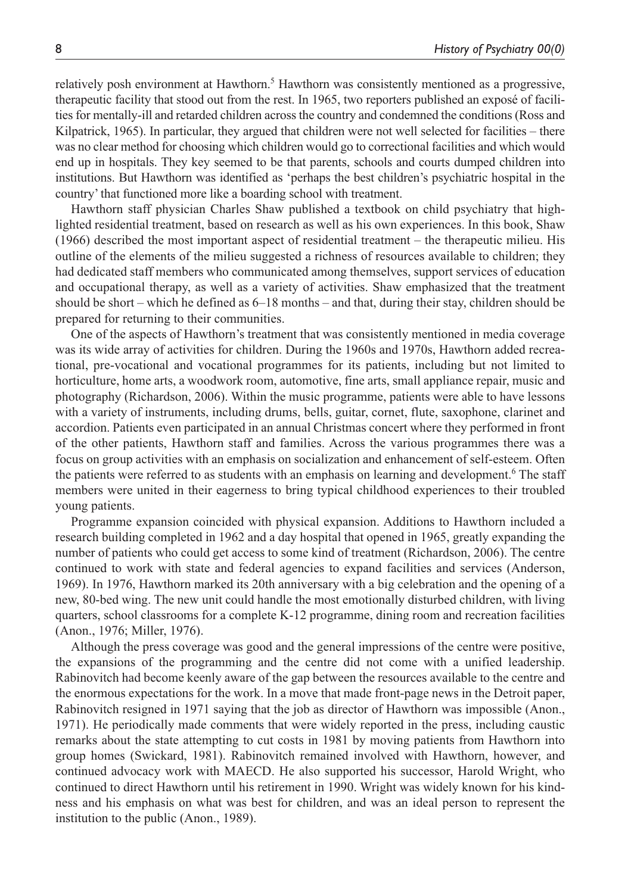relatively posh environment at Hawthorn.<sup>5</sup> Hawthorn was consistently mentioned as a progressive, therapeutic facility that stood out from the rest. In 1965, two reporters published an exposé of facilities for mentally-ill and retarded children across the country and condemned the conditions (Ross and Kilpatrick, 1965). In particular, they argued that children were not well selected for facilities – there was no clear method for choosing which children would go to correctional facilities and which would end up in hospitals. They key seemed to be that parents, schools and courts dumped children into institutions. But Hawthorn was identified as 'perhaps the best children's psychiatric hospital in the country' that functioned more like a boarding school with treatment.

Hawthorn staff physician Charles Shaw published a textbook on child psychiatry that highlighted residential treatment, based on research as well as his own experiences. In this book, Shaw (1966) described the most important aspect of residential treatment – the therapeutic milieu. His outline of the elements of the milieu suggested a richness of resources available to children; they had dedicated staff members who communicated among themselves, support services of education and occupational therapy, as well as a variety of activities. Shaw emphasized that the treatment should be short – which he defined as 6–18 months – and that, during their stay, children should be prepared for returning to their communities.

One of the aspects of Hawthorn's treatment that was consistently mentioned in media coverage was its wide array of activities for children. During the 1960s and 1970s, Hawthorn added recreational, pre-vocational and vocational programmes for its patients, including but not limited to horticulture, home arts, a woodwork room, automotive, fine arts, small appliance repair, music and photography (Richardson, 2006). Within the music programme, patients were able to have lessons with a variety of instruments, including drums, bells, guitar, cornet, flute, saxophone, clarinet and accordion. Patients even participated in an annual Christmas concert where they performed in front of the other patients, Hawthorn staff and families. Across the various programmes there was a focus on group activities with an emphasis on socialization and enhancement of self-esteem. Often the patients were referred to as students with an emphasis on learning and development.<sup>6</sup> The staff members were united in their eagerness to bring typical childhood experiences to their troubled young patients.

Programme expansion coincided with physical expansion. Additions to Hawthorn included a research building completed in 1962 and a day hospital that opened in 1965, greatly expanding the number of patients who could get access to some kind of treatment (Richardson, 2006). The centre continued to work with state and federal agencies to expand facilities and services (Anderson, 1969). In 1976, Hawthorn marked its 20th anniversary with a big celebration and the opening of a new, 80-bed wing. The new unit could handle the most emotionally disturbed children, with living quarters, school classrooms for a complete K-12 programme, dining room and recreation facilities (Anon., 1976; Miller, 1976).

Although the press coverage was good and the general impressions of the centre were positive, the expansions of the programming and the centre did not come with a unified leadership. Rabinovitch had become keenly aware of the gap between the resources available to the centre and the enormous expectations for the work. In a move that made front-page news in the Detroit paper, Rabinovitch resigned in 1971 saying that the job as director of Hawthorn was impossible (Anon., 1971). He periodically made comments that were widely reported in the press, including caustic remarks about the state attempting to cut costs in 1981 by moving patients from Hawthorn into group homes (Swickard, 1981). Rabinovitch remained involved with Hawthorn, however, and continued advocacy work with MAECD. He also supported his successor, Harold Wright, who continued to direct Hawthorn until his retirement in 1990. Wright was widely known for his kindness and his emphasis on what was best for children, and was an ideal person to represent the institution to the public (Anon., 1989).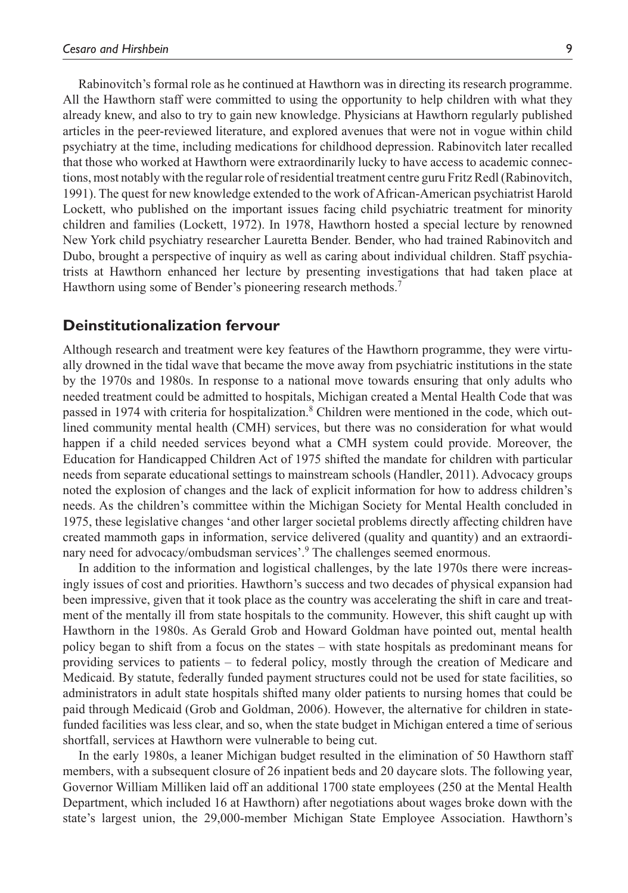Rabinovitch's formal role as he continued at Hawthorn was in directing its research programme. All the Hawthorn staff were committed to using the opportunity to help children with what they already knew, and also to try to gain new knowledge. Physicians at Hawthorn regularly published articles in the peer-reviewed literature, and explored avenues that were not in vogue within child psychiatry at the time, including medications for childhood depression. Rabinovitch later recalled that those who worked at Hawthorn were extraordinarily lucky to have access to academic connections, most notably with the regular role of residential treatment centre guru Fritz Redl (Rabinovitch, 1991). The quest for new knowledge extended to the work of African-American psychiatrist Harold Lockett, who published on the important issues facing child psychiatric treatment for minority children and families (Lockett, 1972). In 1978, Hawthorn hosted a special lecture by renowned New York child psychiatry researcher Lauretta Bender. Bender, who had trained Rabinovitch and Dubo, brought a perspective of inquiry as well as caring about individual children. Staff psychiatrists at Hawthorn enhanced her lecture by presenting investigations that had taken place at Hawthorn using some of Bender's pioneering research methods.<sup>7</sup>

#### **Deinstitutionalization fervour**

Although research and treatment were key features of the Hawthorn programme, they were virtually drowned in the tidal wave that became the move away from psychiatric institutions in the state by the 1970s and 1980s. In response to a national move towards ensuring that only adults who needed treatment could be admitted to hospitals, Michigan created a Mental Health Code that was passed in 1974 with criteria for hospitalization.<sup>8</sup> Children were mentioned in the code, which outlined community mental health (CMH) services, but there was no consideration for what would happen if a child needed services beyond what a CMH system could provide. Moreover, the Education for Handicapped Children Act of 1975 shifted the mandate for children with particular needs from separate educational settings to mainstream schools (Handler, 2011). Advocacy groups noted the explosion of changes and the lack of explicit information for how to address children's needs. As the children's committee within the Michigan Society for Mental Health concluded in 1975, these legislative changes 'and other larger societal problems directly affecting children have created mammoth gaps in information, service delivered (quality and quantity) and an extraordinary need for advocacy/ombudsman services'.<sup>9</sup> The challenges seemed enormous.

In addition to the information and logistical challenges, by the late 1970s there were increasingly issues of cost and priorities. Hawthorn's success and two decades of physical expansion had been impressive, given that it took place as the country was accelerating the shift in care and treatment of the mentally ill from state hospitals to the community. However, this shift caught up with Hawthorn in the 1980s. As Gerald Grob and Howard Goldman have pointed out, mental health policy began to shift from a focus on the states – with state hospitals as predominant means for providing services to patients – to federal policy, mostly through the creation of Medicare and Medicaid. By statute, federally funded payment structures could not be used for state facilities, so administrators in adult state hospitals shifted many older patients to nursing homes that could be paid through Medicaid (Grob and Goldman, 2006). However, the alternative for children in statefunded facilities was less clear, and so, when the state budget in Michigan entered a time of serious shortfall, services at Hawthorn were vulnerable to being cut.

In the early 1980s, a leaner Michigan budget resulted in the elimination of 50 Hawthorn staff members, with a subsequent closure of 26 inpatient beds and 20 daycare slots. The following year, Governor William Milliken laid off an additional 1700 state employees (250 at the Mental Health Department, which included 16 at Hawthorn) after negotiations about wages broke down with the state's largest union, the 29,000-member Michigan State Employee Association. Hawthorn's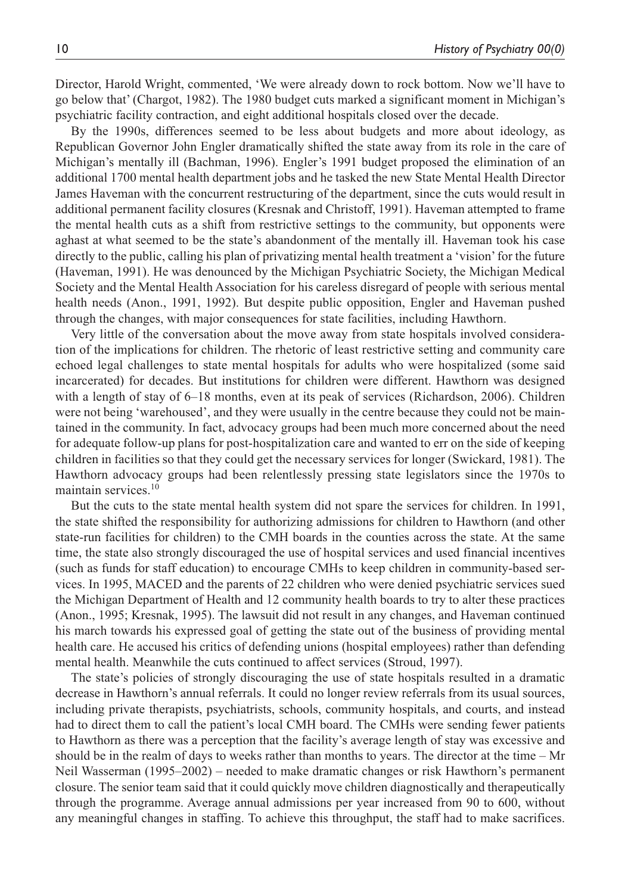Director, Harold Wright, commented, 'We were already down to rock bottom. Now we'll have to go below that' (Chargot, 1982). The 1980 budget cuts marked a significant moment in Michigan's psychiatric facility contraction, and eight additional hospitals closed over the decade.

By the 1990s, differences seemed to be less about budgets and more about ideology, as Republican Governor John Engler dramatically shifted the state away from its role in the care of Michigan's mentally ill (Bachman, 1996). Engler's 1991 budget proposed the elimination of an additional 1700 mental health department jobs and he tasked the new State Mental Health Director James Haveman with the concurrent restructuring of the department, since the cuts would result in additional permanent facility closures (Kresnak and Christoff, 1991). Haveman attempted to frame the mental health cuts as a shift from restrictive settings to the community, but opponents were aghast at what seemed to be the state's abandonment of the mentally ill. Haveman took his case directly to the public, calling his plan of privatizing mental health treatment a 'vision' for the future (Haveman, 1991). He was denounced by the Michigan Psychiatric Society, the Michigan Medical Society and the Mental Health Association for his careless disregard of people with serious mental health needs (Anon., 1991, 1992). But despite public opposition, Engler and Haveman pushed through the changes, with major consequences for state facilities, including Hawthorn.

Very little of the conversation about the move away from state hospitals involved consideration of the implications for children. The rhetoric of least restrictive setting and community care echoed legal challenges to state mental hospitals for adults who were hospitalized (some said incarcerated) for decades. But institutions for children were different. Hawthorn was designed with a length of stay of 6–18 months, even at its peak of services (Richardson, 2006). Children were not being 'warehoused', and they were usually in the centre because they could not be maintained in the community. In fact, advocacy groups had been much more concerned about the need for adequate follow-up plans for post-hospitalization care and wanted to err on the side of keeping children in facilities so that they could get the necessary services for longer (Swickard, 1981). The Hawthorn advocacy groups had been relentlessly pressing state legislators since the 1970s to maintain services.10

But the cuts to the state mental health system did not spare the services for children. In 1991, the state shifted the responsibility for authorizing admissions for children to Hawthorn (and other state-run facilities for children) to the CMH boards in the counties across the state. At the same time, the state also strongly discouraged the use of hospital services and used financial incentives (such as funds for staff education) to encourage CMHs to keep children in community-based services. In 1995, MACED and the parents of 22 children who were denied psychiatric services sued the Michigan Department of Health and 12 community health boards to try to alter these practices (Anon., 1995; Kresnak, 1995). The lawsuit did not result in any changes, and Haveman continued his march towards his expressed goal of getting the state out of the business of providing mental health care. He accused his critics of defending unions (hospital employees) rather than defending mental health. Meanwhile the cuts continued to affect services (Stroud, 1997).

The state's policies of strongly discouraging the use of state hospitals resulted in a dramatic decrease in Hawthorn's annual referrals. It could no longer review referrals from its usual sources, including private therapists, psychiatrists, schools, community hospitals, and courts, and instead had to direct them to call the patient's local CMH board. The CMHs were sending fewer patients to Hawthorn as there was a perception that the facility's average length of stay was excessive and should be in the realm of days to weeks rather than months to years. The director at the time – Mr Neil Wasserman (1995–2002) – needed to make dramatic changes or risk Hawthorn's permanent closure. The senior team said that it could quickly move children diagnostically and therapeutically through the programme. Average annual admissions per year increased from 90 to 600, without any meaningful changes in staffing. To achieve this throughput, the staff had to make sacrifices.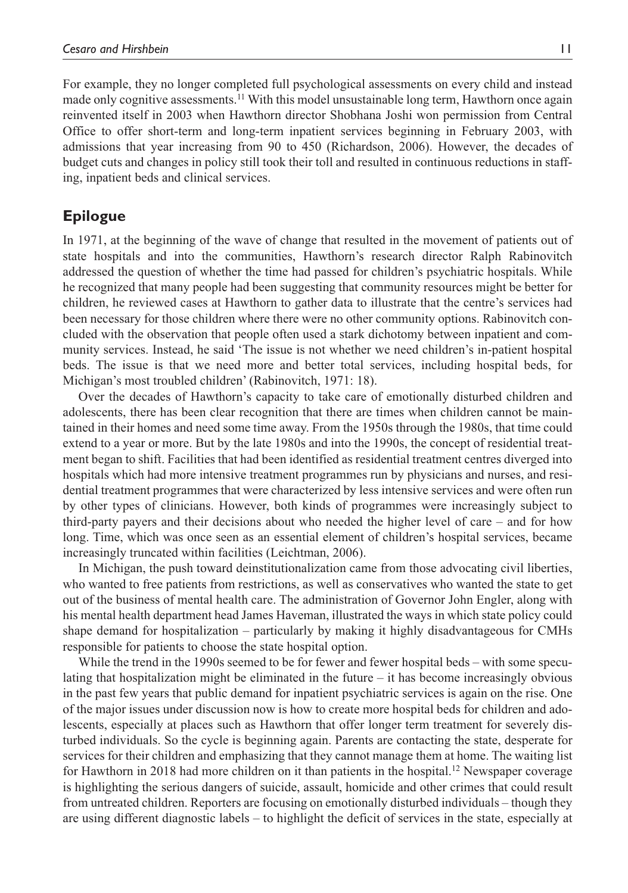For example, they no longer completed full psychological assessments on every child and instead made only cognitive assessments.<sup>11</sup> With this model unsustainable long term, Hawthorn once again reinvented itself in 2003 when Hawthorn director Shobhana Joshi won permission from Central Office to offer short-term and long-term inpatient services beginning in February 2003, with admissions that year increasing from 90 to 450 (Richardson, 2006). However, the decades of budget cuts and changes in policy still took their toll and resulted in continuous reductions in staffing, inpatient beds and clinical services.

#### **Epilogue**

In 1971, at the beginning of the wave of change that resulted in the movement of patients out of state hospitals and into the communities, Hawthorn's research director Ralph Rabinovitch addressed the question of whether the time had passed for children's psychiatric hospitals. While he recognized that many people had been suggesting that community resources might be better for children, he reviewed cases at Hawthorn to gather data to illustrate that the centre's services had been necessary for those children where there were no other community options. Rabinovitch concluded with the observation that people often used a stark dichotomy between inpatient and community services. Instead, he said 'The issue is not whether we need children's in-patient hospital beds. The issue is that we need more and better total services, including hospital beds, for Michigan's most troubled children' (Rabinovitch, 1971: 18).

Over the decades of Hawthorn's capacity to take care of emotionally disturbed children and adolescents, there has been clear recognition that there are times when children cannot be maintained in their homes and need some time away. From the 1950s through the 1980s, that time could extend to a year or more. But by the late 1980s and into the 1990s, the concept of residential treatment began to shift. Facilities that had been identified as residential treatment centres diverged into hospitals which had more intensive treatment programmes run by physicians and nurses, and residential treatment programmes that were characterized by less intensive services and were often run by other types of clinicians. However, both kinds of programmes were increasingly subject to third-party payers and their decisions about who needed the higher level of care – and for how long. Time, which was once seen as an essential element of children's hospital services, became increasingly truncated within facilities (Leichtman, 2006).

In Michigan, the push toward deinstitutionalization came from those advocating civil liberties, who wanted to free patients from restrictions, as well as conservatives who wanted the state to get out of the business of mental health care. The administration of Governor John Engler, along with his mental health department head James Haveman, illustrated the ways in which state policy could shape demand for hospitalization – particularly by making it highly disadvantageous for CMHs responsible for patients to choose the state hospital option.

While the trend in the 1990s seemed to be for fewer and fewer hospital beds – with some speculating that hospitalization might be eliminated in the future – it has become increasingly obvious in the past few years that public demand for inpatient psychiatric services is again on the rise. One of the major issues under discussion now is how to create more hospital beds for children and adolescents, especially at places such as Hawthorn that offer longer term treatment for severely disturbed individuals. So the cycle is beginning again. Parents are contacting the state, desperate for services for their children and emphasizing that they cannot manage them at home. The waiting list for Hawthorn in 2018 had more children on it than patients in the hospital.<sup>12</sup> Newspaper coverage is highlighting the serious dangers of suicide, assault, homicide and other crimes that could result from untreated children. Reporters are focusing on emotionally disturbed individuals – though they are using different diagnostic labels – to highlight the deficit of services in the state, especially at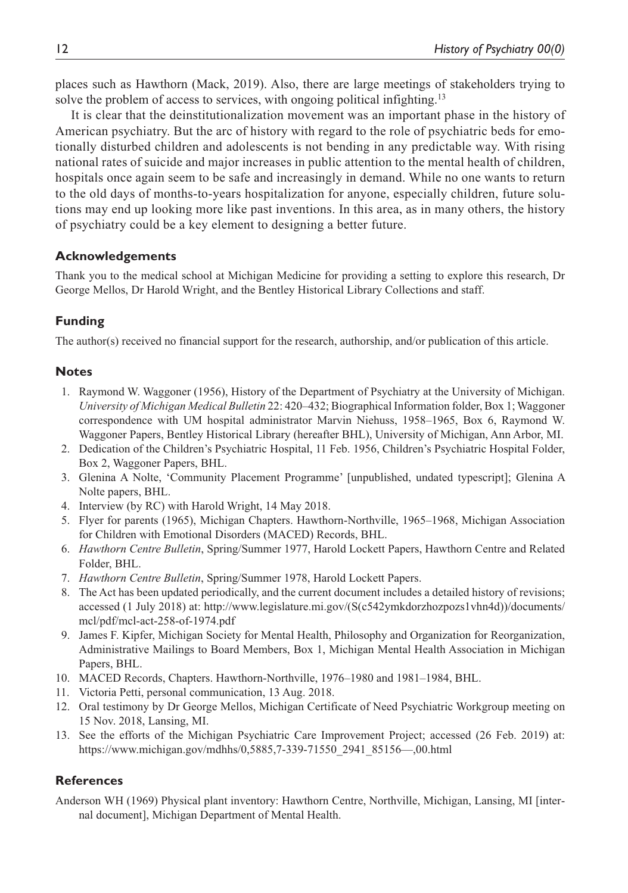places such as Hawthorn (Mack, 2019). Also, there are large meetings of stakeholders trying to solve the problem of access to services, with ongoing political infighting.<sup>13</sup>

It is clear that the deinstitutionalization movement was an important phase in the history of American psychiatry. But the arc of history with regard to the role of psychiatric beds for emotionally disturbed children and adolescents is not bending in any predictable way. With rising national rates of suicide and major increases in public attention to the mental health of children, hospitals once again seem to be safe and increasingly in demand. While no one wants to return to the old days of months-to-years hospitalization for anyone, especially children, future solutions may end up looking more like past inventions. In this area, as in many others, the history of psychiatry could be a key element to designing a better future.

#### **Acknowledgements**

Thank you to the medical school at Michigan Medicine for providing a setting to explore this research, Dr George Mellos, Dr Harold Wright, and the Bentley Historical Library Collections and staff.

#### **Funding**

The author(s) received no financial support for the research, authorship, and/or publication of this article.

#### **Notes**

- 1. Raymond W. Waggoner (1956), History of the Department of Psychiatry at the University of Michigan. *University of Michigan Medical Bulletin* 22: 420–432; Biographical Information folder, Box 1; Waggoner correspondence with UM hospital administrator Marvin Niehuss, 1958–1965, Box 6, Raymond W. Waggoner Papers, Bentley Historical Library (hereafter BHL), University of Michigan, Ann Arbor, MI.
- 2. Dedication of the Children's Psychiatric Hospital, 11 Feb. 1956, Children's Psychiatric Hospital Folder, Box 2, Waggoner Papers, BHL.
- 3. Glenina A Nolte, 'Community Placement Programme' [unpublished, undated typescript]; Glenina A Nolte papers, BHL.
- 4. Interview (by RC) with Harold Wright, 14 May 2018.
- 5. Flyer for parents (1965), Michigan Chapters. Hawthorn-Northville, 1965–1968, Michigan Association for Children with Emotional Disorders (MACED) Records, BHL.
- 6. *Hawthorn Centre Bulletin*, Spring/Summer 1977, Harold Lockett Papers, Hawthorn Centre and Related Folder, BHL.
- 7. *Hawthorn Centre Bulletin*, Spring/Summer 1978, Harold Lockett Papers.
- 8. The Act has been updated periodically, and the current document includes a detailed history of revisions; accessed (1 July 2018) at: [http://www.legislature.mi.gov/\(S\(c542ymkdorzhozpozs1vhn4d\)\)/documents/](http://www.legislature.mi.gov/(S(c542ymkdorzhozpozs1vhn4d))/documents/mcl/pdf/mcl-act-258-of-1974.pdf) [mcl/pdf/mcl-act-258-of-1974.pdf](http://www.legislature.mi.gov/(S(c542ymkdorzhozpozs1vhn4d))/documents/mcl/pdf/mcl-act-258-of-1974.pdf)
- 9. James F. Kipfer, Michigan Society for Mental Health, Philosophy and Organization for Reorganization, Administrative Mailings to Board Members, Box 1, Michigan Mental Health Association in Michigan Papers, BHL.
- 10. MACED Records, Chapters. Hawthorn-Northville, 1976–1980 and 1981–1984, BHL.
- 11. Victoria Petti, personal communication, 13 Aug. 2018.
- 12. Oral testimony by Dr George Mellos, Michigan Certificate of Need Psychiatric Workgroup meeting on 15 Nov. 2018, Lansing, MI.
- 13. See the efforts of the Michigan Psychiatric Care Improvement Project; accessed (26 Feb. 2019) at: [https://www.michigan.gov/mdhhs/0,5885,7-339-71550\\_2941\\_85156—,00.html](https://www.michigan.gov/mdhhs/0,5885,7-339-71550_2941_85156�,00.html)

#### **References**

Anderson WH (1969) Physical plant inventory: Hawthorn Centre, Northville, Michigan, Lansing, MI [internal document], Michigan Department of Mental Health.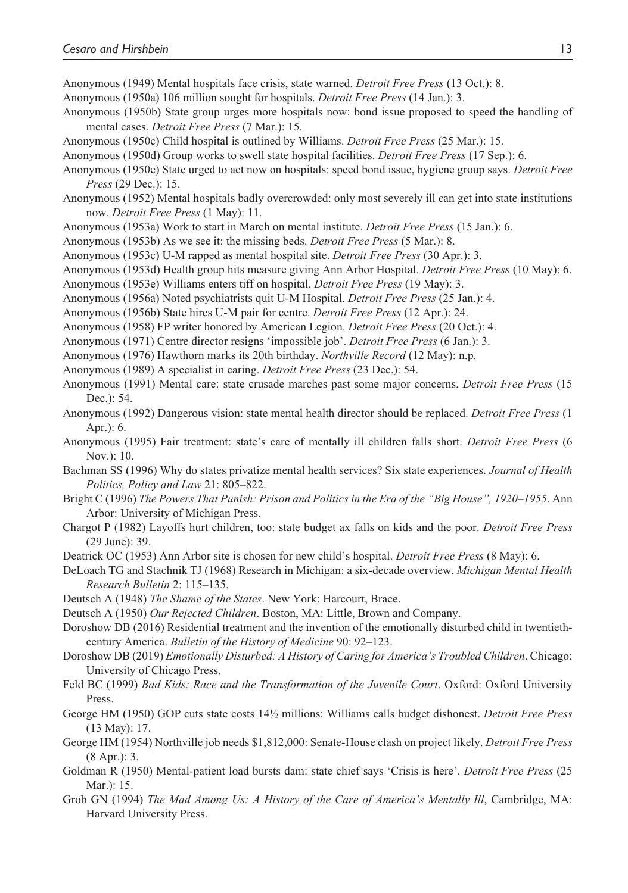Anonymous (1949) Mental hospitals face crisis, state warned. *Detroit Free Press* (13 Oct.): 8.

- Anonymous (1950a) 106 million sought for hospitals. *Detroit Free Press* (14 Jan.): 3.
- Anonymous (1950b) State group urges more hospitals now: bond issue proposed to speed the handling of mental cases. *Detroit Free Press* (7 Mar.): 15.
- Anonymous (1950c) Child hospital is outlined by Williams. *Detroit Free Press* (25 Mar.): 15.
- Anonymous (1950d) Group works to swell state hospital facilities. *Detroit Free Press* (17 Sep.): 6.
- Anonymous (1950e) State urged to act now on hospitals: speed bond issue, hygiene group says. *Detroit Free Press* (29 Dec.): 15.
- Anonymous (1952) Mental hospitals badly overcrowded: only most severely ill can get into state institutions now. *Detroit Free Press* (1 May): 11.
- Anonymous (1953a) Work to start in March on mental institute. *Detroit Free Press* (15 Jan.): 6.
- Anonymous (1953b) As we see it: the missing beds. *Detroit Free Press* (5 Mar.): 8.
- Anonymous (1953c) U-M rapped as mental hospital site. *Detroit Free Press* (30 Apr.): 3.
- Anonymous (1953d) Health group hits measure giving Ann Arbor Hospital. *Detroit Free Press* (10 May): 6.
- Anonymous (1953e) Williams enters tiff on hospital. *Detroit Free Press* (19 May): 3.
- Anonymous (1956a) Noted psychiatrists quit U-M Hospital. *Detroit Free Press* (25 Jan.): 4.
- Anonymous (1956b) State hires U-M pair for centre. *Detroit Free Press* (12 Apr.): 24.
- Anonymous (1958) FP writer honored by American Legion. *Detroit Free Press* (20 Oct.): 4.

Anonymous (1971) Centre director resigns 'impossible job'. *Detroit Free Press* (6 Jan.): 3.

- Anonymous (1976) Hawthorn marks its 20th birthday. *Northville Record* (12 May): n.p.
- Anonymous (1989) A specialist in caring. *Detroit Free Press* (23 Dec.): 54.
- Anonymous (1991) Mental care: state crusade marches past some major concerns. *Detroit Free Press* (15 Dec.): 54.
- Anonymous (1992) Dangerous vision: state mental health director should be replaced. *Detroit Free Press* (1 Apr.): 6.
- Anonymous (1995) Fair treatment: state's care of mentally ill children falls short. *Detroit Free Press* (6 Nov.): 10.
- Bachman SS (1996) Why do states privatize mental health services? Six state experiences. *Journal of Health Politics, Policy and Law* 21: 805–822.
- Bright C (1996) *The Powers That Punish: Prison and Politics in the Era of the "Big House", 1920–1955*. Ann Arbor: University of Michigan Press.
- Chargot P (1982) Layoffs hurt children, too: state budget ax falls on kids and the poor. *Detroit Free Press* (29 June): 39.
- Deatrick OC (1953) Ann Arbor site is chosen for new child's hospital. *Detroit Free Press* (8 May): 6.

DeLoach TG and Stachnik TJ (1968) Research in Michigan: a six-decade overview. *Michigan Mental Health Research Bulletin* 2: 115–135.

- Deutsch A (1948) *The Shame of the States*. New York: Harcourt, Brace.
- Deutsch A (1950) *Our Rejected Children*. Boston, MA: Little, Brown and Company.
- Doroshow DB (2016) Residential treatment and the invention of the emotionally disturbed child in twentiethcentury America. *Bulletin of the History of Medicine* 90: 92–123.
- Doroshow DB (2019) *Emotionally Disturbed: A History of Caring for America's Troubled Children*. Chicago: University of Chicago Press.
- Feld BC (1999) *Bad Kids: Race and the Transformation of the Juvenile Court*. Oxford: Oxford University Press.
- George HM (1950) GOP cuts state costs 14½ millions: Williams calls budget dishonest. *Detroit Free Press* (13 May): 17.
- George HM (1954) Northville job needs \$1,812,000: Senate-House clash on project likely. *Detroit Free Press* (8 Apr.): 3.
- Goldman R (1950) Mental-patient load bursts dam: state chief says 'Crisis is here'. *Detroit Free Press* (25 Mar.): 15.
- Grob GN (1994) *The Mad Among Us: A History of the Care of America's Mentally Ill*, Cambridge, MA: Harvard University Press.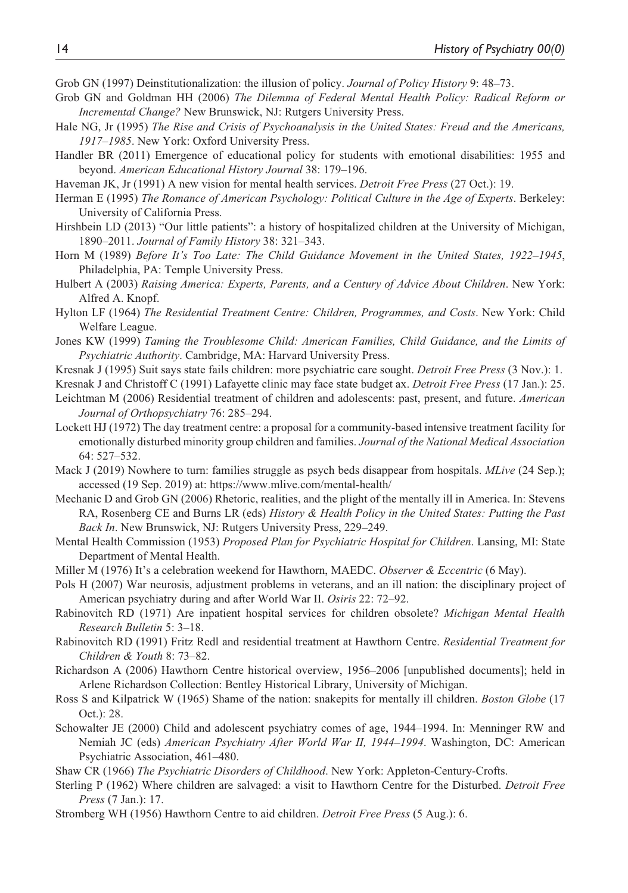Grob GN (1997) Deinstitutionalization: the illusion of policy. *Journal of Policy History* 9: 48–73.

- Grob GN and Goldman HH (2006) *The Dilemma of Federal Mental Health Policy: Radical Reform or Incremental Change?* New Brunswick, NJ: Rutgers University Press.
- Hale NG, Jr (1995) *The Rise and Crisis of Psychoanalysis in the United States: Freud and the Americans, 1917–1985*. New York: Oxford University Press.
- Handler BR (2011) Emergence of educational policy for students with emotional disabilities: 1955 and beyond. *American Educational History Journal* 38: 179–196.
- Haveman JK, Jr (1991) A new vision for mental health services. *Detroit Free Press* (27 Oct.): 19.
- Herman E (1995) *The Romance of American Psychology: Political Culture in the Age of Experts*. Berkeley: University of California Press.
- Hirshbein LD (2013) "Our little patients": a history of hospitalized children at the University of Michigan, 1890–2011. *Journal of Family History* 38: 321–343.
- Horn M (1989) *Before It's Too Late: The Child Guidance Movement in the United States, 1922–1945*, Philadelphia, PA: Temple University Press.
- Hulbert A (2003) *Raising America: Experts, Parents, and a Century of Advice About Children*. New York: Alfred A. Knopf.
- Hylton LF (1964) *The Residential Treatment Centre: Children, Programmes, and Costs*. New York: Child Welfare League.
- Jones KW (1999) *Taming the Troublesome Child: American Families, Child Guidance, and the Limits of Psychiatric Authority*. Cambridge, MA: Harvard University Press.
- Kresnak J (1995) Suit says state fails children: more psychiatric care sought. *Detroit Free Press* (3 Nov.): 1.
- Kresnak J and Christoff C (1991) Lafayette clinic may face state budget ax. *Detroit Free Press* (17 Jan.): 25.
- Leichtman M (2006) Residential treatment of children and adolescents: past, present, and future. *American Journal of Orthopsychiatry* 76: 285–294.
- Lockett HJ (1972) The day treatment centre: a proposal for a community-based intensive treatment facility for emotionally disturbed minority group children and families. *Journal of the National Medical Association* 64: 527–532.
- Mack J (2019) Nowhere to turn: families struggle as psych beds disappear from hospitals. *MLive* (24 Sep.); accessed (19 Sep. 2019) at: <https://www.mlive.com/mental-health/>
- Mechanic D and Grob GN (2006) Rhetoric, realities, and the plight of the mentally ill in America. In: Stevens RA, Rosenberg CE and Burns LR (eds) *History & Health Policy in the United States: Putting the Past Back In*. New Brunswick, NJ: Rutgers University Press, 229–249.
- Mental Health Commission (1953) *Proposed Plan for Psychiatric Hospital for Children*. Lansing, MI: State Department of Mental Health.
- Miller M (1976) It's a celebration weekend for Hawthorn, MAEDC. *Observer & Eccentric* (6 May).
- Pols H (2007) War neurosis, adjustment problems in veterans, and an ill nation: the disciplinary project of American psychiatry during and after World War II. *Osiris* 22: 72–92.
- Rabinovitch RD (1971) Are inpatient hospital services for children obsolete? *Michigan Mental Health Research Bulletin* 5: 3–18.
- Rabinovitch RD (1991) Fritz Redl and residential treatment at Hawthorn Centre. *Residential Treatment for Children & Youth* 8: 73–82.
- Richardson A (2006) Hawthorn Centre historical overview, 1956–2006 [unpublished documents]; held in Arlene Richardson Collection: Bentley Historical Library, University of Michigan.
- Ross S and Kilpatrick W (1965) Shame of the nation: snakepits for mentally ill children. *Boston Globe* (17 Oct.): 28.
- Schowalter JE (2000) Child and adolescent psychiatry comes of age, 1944–1994. In: Menninger RW and Nemiah JC (eds) *American Psychiatry After World War II, 1944–1994*. Washington, DC: American Psychiatric Association, 461–480.

Shaw CR (1966) *The Psychiatric Disorders of Childhood*. New York: Appleton-Century-Crofts.

- Sterling P (1962) Where children are salvaged: a visit to Hawthorn Centre for the Disturbed. *Detroit Free Press* (7 Jan.): 17.
- Stromberg WH (1956) Hawthorn Centre to aid children. *Detroit Free Press* (5 Aug.): 6.